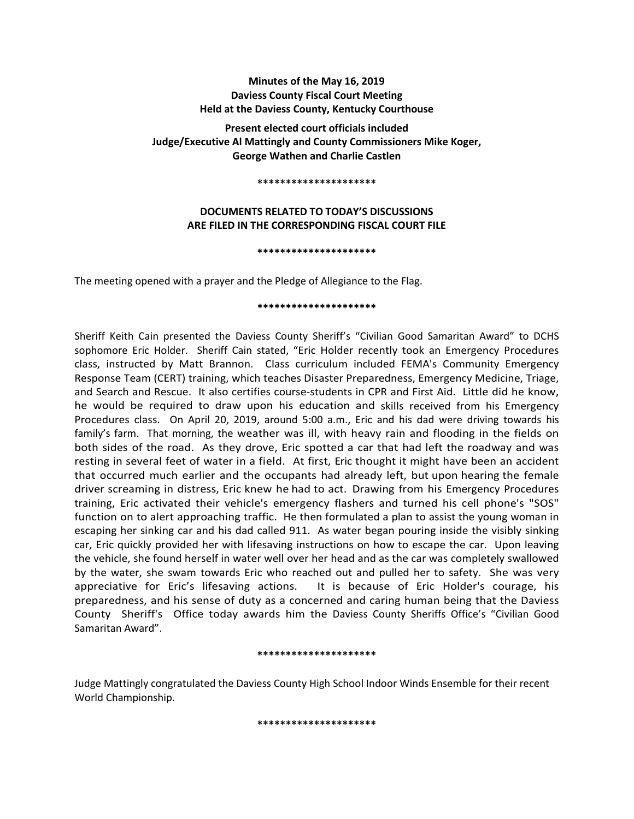# **Minutes of the May 16, 2019 Daviess County Fiscal Court Meeting Held at the Daviess County, Kentucky Courthouse**

**Present elected court officials included Judge/Executive Al Mattingly and County Commissioners Mike Koger, George Wathen and Charlie Castlen** 

#### **\*\*\*\*\*\*\*\*\*\*\*\*\*\*\*\*\*\*\*\*\***

# **DOCUMENTS RELATED TO TODAY'S DISCUSSIONS ARE FILED IN THE CORRESPONDING FISCAL COURT FILE**

#### **\*\*\*\*\*\*\*\*\*\*\*\*\*\*\*\*\*\*\*\*\***

The meeting opened with a prayer and the Pledge of Allegiance to the Flag.

### **\*\*\*\*\*\*\*\*\*\*\*\*\*\*\*\*\*\*\*\*\***

Sheriff Keith Cain presented the Daviess County Sheriff's "Civilian Good Samaritan Award" to DCHS sophomore Eric Holder. Sheriff Cain stated, "Eric Holder recently took an Emergency Procedures class, instructed by Matt Brannon. Class curriculum included FEMA's Community Emergency Response Team (CERT) training, which teaches Disaster Preparedness, Emergency Medicine, Triage, and Search and Rescue. It also certifies course-students in CPR and First Aid. Little did he know, he would be required to draw upon his education and skills received from his Emergency Procedures class. On April 20, 2019, around 5:00 a.m., Eric and his dad were driving towards his family's farm. That morning, the weather was ill, with heavy rain and flooding in the fields on both sides of the road. As they drove, Eric spotted a car that had left the roadway and was resting in several feet of water in a field. At first, Eric thought it might have been an accident that occurred much earlier and the occupants had already left, but upon hearing the female driver screaming in distress, Eric knew he had to act. Drawing from his Emergency Procedures training, Eric activated their vehicle's emergency flashers and turned his cell phone's "SOS" function on to alert approaching traffic. He then formulated a plan to assist the young woman in escaping her sinking car and his dad called 911. As water began pouring inside the visibly sinking car, Eric quickly provided her with lifesaving instructions on how to escape the car. Upon leaving the vehicle, she found herself in water well over her head and as the car was completely swallowed by the water, she swam towards Eric who reached out and pulled her to safety. She was very appreciative for Eric's lifesaving actions. It is because of Eric Holder's courage, his preparedness, and his sense of duty as a concerned and caring human being that the Daviess County Sheriff's Office today awards him the Daviess County Sheriffs Office's "Civilian Good Samaritan Award".

#### **\*\*\*\*\*\*\*\*\*\*\*\*\*\*\*\*\*\*\*\*\***

Judge Mattingly congratulated the Daviess County High School Indoor Winds Ensemble for their recent World Championship.

**\*\*\*\*\*\*\*\*\*\*\*\*\*\*\*\*\*\*\*\*\***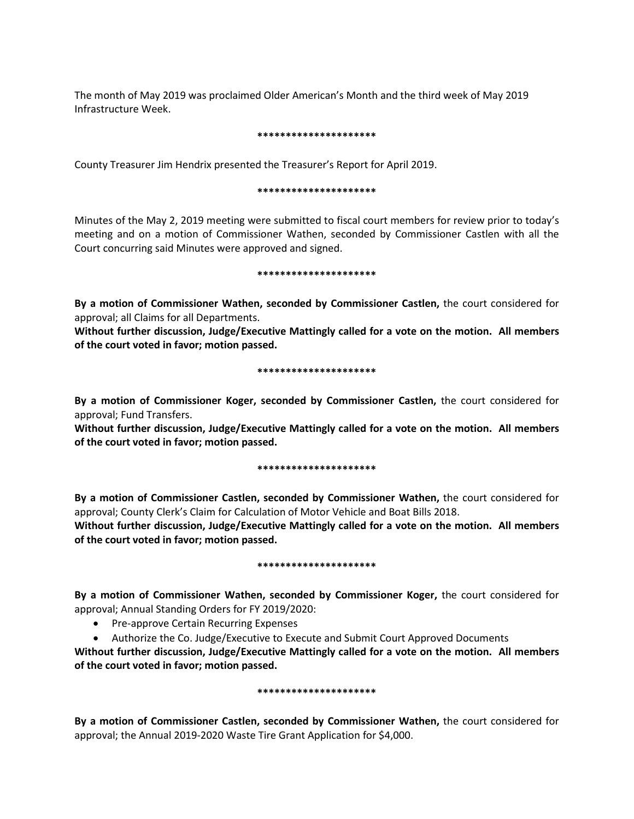The month of May 2019 was proclaimed Older American's Month and the third week of May 2019 Infrastructure Week.

### **\*\*\*\*\*\*\*\*\*\*\*\*\*\*\*\*\*\*\*\*\***

County Treasurer Jim Hendrix presented the Treasurer's Report for April 2019.

### **\*\*\*\*\*\*\*\*\*\*\*\*\*\*\*\*\*\*\*\*\***

Minutes of the May 2, 2019 meeting were submitted to fiscal court members for review prior to today's meeting and on a motion of Commissioner Wathen, seconded by Commissioner Castlen with all the Court concurring said Minutes were approved and signed.

### **\*\*\*\*\*\*\*\*\*\*\*\*\*\*\*\*\*\*\*\*\***

**By a motion of Commissioner Wathen, seconded by Commissioner Castlen,** the court considered for approval; all Claims for all Departments.

**Without further discussion, Judge/Executive Mattingly called for a vote on the motion. All members of the court voted in favor; motion passed.** 

## **\*\*\*\*\*\*\*\*\*\*\*\*\*\*\*\*\*\*\*\*\***

**By a motion of Commissioner Koger, seconded by Commissioner Castlen,** the court considered for approval; Fund Transfers.

**Without further discussion, Judge/Executive Mattingly called for a vote on the motion. All members of the court voted in favor; motion passed.** 

### **\*\*\*\*\*\*\*\*\*\*\*\*\*\*\*\*\*\*\*\*\***

**By a motion of Commissioner Castlen, seconded by Commissioner Wathen,** the court considered for approval; County Clerk's Claim for Calculation of Motor Vehicle and Boat Bills 2018.

**Without further discussion, Judge/Executive Mattingly called for a vote on the motion. All members of the court voted in favor; motion passed.** 

### **\*\*\*\*\*\*\*\*\*\*\*\*\*\*\*\*\*\*\*\*\***

**By a motion of Commissioner Wathen, seconded by Commissioner Koger,** the court considered for approval; Annual Standing Orders for FY 2019/2020:

- Pre-approve Certain Recurring Expenses
- Authorize the Co. Judge/Executive to Execute and Submit Court Approved Documents

**Without further discussion, Judge/Executive Mattingly called for a vote on the motion. All members of the court voted in favor; motion passed.** 

## **\*\*\*\*\*\*\*\*\*\*\*\*\*\*\*\*\*\*\*\*\***

**By a motion of Commissioner Castlen, seconded by Commissioner Wathen,** the court considered for approval; the Annual 2019-2020 Waste Tire Grant Application for \$4,000.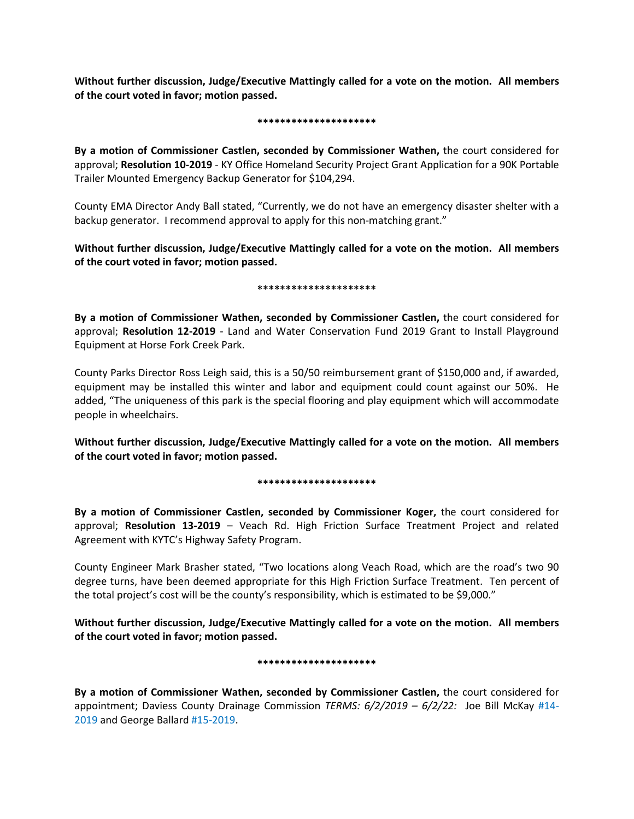**Without further discussion, Judge/Executive Mattingly called for a vote on the motion. All members of the court voted in favor; motion passed.** 

### **\*\*\*\*\*\*\*\*\*\*\*\*\*\*\*\*\*\*\*\*\***

**By a motion of Commissioner Castlen, seconded by Commissioner Wathen,** the court considered for approval; **Resolution 10-2019** - KY Office Homeland Security Project Grant Application for a 90K Portable Trailer Mounted Emergency Backup Generator for \$104,294.

County EMA Director Andy Ball stated, "Currently, we do not have an emergency disaster shelter with a backup generator. I recommend approval to apply for this non-matching grant."

**Without further discussion, Judge/Executive Mattingly called for a vote on the motion. All members of the court voted in favor; motion passed.** 

### **\*\*\*\*\*\*\*\*\*\*\*\*\*\*\*\*\*\*\*\*\***

**By a motion of Commissioner Wathen, seconded by Commissioner Castlen,** the court considered for approval; **Resolution 12-2019** - Land and Water Conservation Fund 2019 Grant to Install Playground Equipment at Horse Fork Creek Park.

County Parks Director Ross Leigh said, this is a 50/50 reimbursement grant of \$150,000 and, if awarded, equipment may be installed this winter and labor and equipment could count against our 50%. He added, "The uniqueness of this park is the special flooring and play equipment which will accommodate people in wheelchairs.

**Without further discussion, Judge/Executive Mattingly called for a vote on the motion. All members of the court voted in favor; motion passed.** 

## **\*\*\*\*\*\*\*\*\*\*\*\*\*\*\*\*\*\*\*\*\***

**By a motion of Commissioner Castlen, seconded by Commissioner Koger,** the court considered for approval; **Resolution 13-2019** – Veach Rd. High Friction Surface Treatment Project and related Agreement with KYTC's Highway Safety Program.

County Engineer Mark Brasher stated, "Two locations along Veach Road, which are the road's two 90 degree turns, have been deemed appropriate for this High Friction Surface Treatment. Ten percent of the total project's cost will be the county's responsibility, which is estimated to be \$9,000."

**Without further discussion, Judge/Executive Mattingly called for a vote on the motion. All members of the court voted in favor; motion passed.** 

## **\*\*\*\*\*\*\*\*\*\*\*\*\*\*\*\*\*\*\*\*\***

**By a motion of Commissioner Wathen, seconded by Commissioner Castlen,** the court considered for appointment; Daviess County Drainage Commission *TERMS: 6/2/2019 – 6/2/22:* Joe Bill McKay #14- 2019 and George Ballard #15-2019.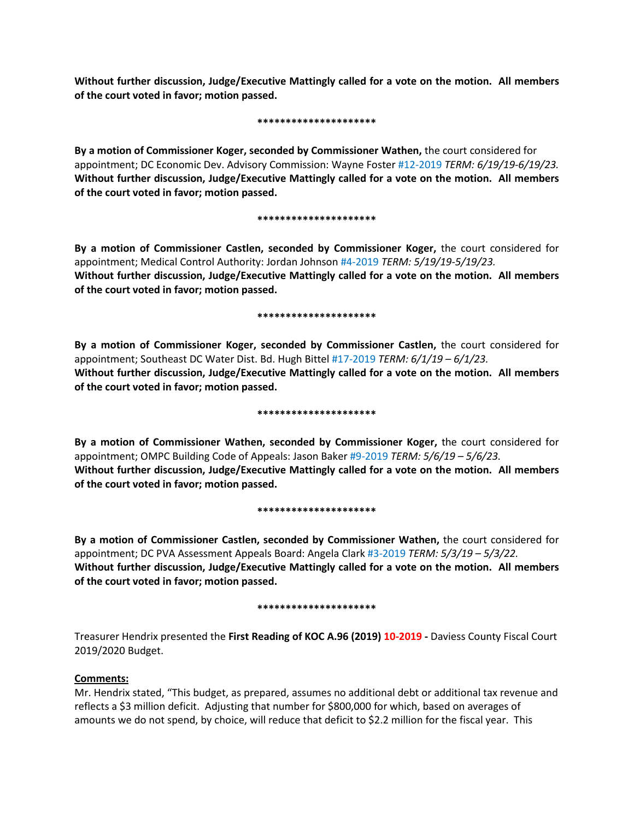**Without further discussion, Judge/Executive Mattingly called for a vote on the motion. All members of the court voted in favor; motion passed.**

### **\*\*\*\*\*\*\*\*\*\*\*\*\*\*\*\*\*\*\*\*\***

**By a motion of Commissioner Koger, seconded by Commissioner Wathen,** the court considered for appointment; DC Economic Dev. Advisory Commission: Wayne Foster #12-2019 *TERM: 6/19/19-6/19/23.* **Without further discussion, Judge/Executive Mattingly called for a vote on the motion. All members of the court voted in favor; motion passed.** 

### **\*\*\*\*\*\*\*\*\*\*\*\*\*\*\*\*\*\*\*\*\***

**By a motion of Commissioner Castlen, seconded by Commissioner Koger,** the court considered for appointment; Medical Control Authority: Jordan Johnson #4-2019 *TERM: 5/19/19-5/19/23.* **Without further discussion, Judge/Executive Mattingly called for a vote on the motion. All members of the court voted in favor; motion passed.** 

### **\*\*\*\*\*\*\*\*\*\*\*\*\*\*\*\*\*\*\*\*\***

**By a motion of Commissioner Koger, seconded by Commissioner Castlen,** the court considered for appointment; Southeast DC Water Dist. Bd. Hugh Bittel #17-2019 *TERM: 6/1/19 – 6/1/23.* **Without further discussion, Judge/Executive Mattingly called for a vote on the motion. All members of the court voted in favor; motion passed.** 

### **\*\*\*\*\*\*\*\*\*\*\*\*\*\*\*\*\*\*\*\*\***

**By a motion of Commissioner Wathen, seconded by Commissioner Koger,** the court considered for appointment; OMPC Building Code of Appeals: Jason Baker #9-2019 *TERM: 5/6/19 – 5/6/23.* **Without further discussion, Judge/Executive Mattingly called for a vote on the motion. All members of the court voted in favor; motion passed.** 

## **\*\*\*\*\*\*\*\*\*\*\*\*\*\*\*\*\*\*\*\*\***

**By a motion of Commissioner Castlen, seconded by Commissioner Wathen,** the court considered for appointment; DC PVA Assessment Appeals Board: Angela Clark #3-2019 *TERM: 5/3/19 – 5/3/22.* **Without further discussion, Judge/Executive Mattingly called for a vote on the motion. All members of the court voted in favor; motion passed.** 

### **\*\*\*\*\*\*\*\*\*\*\*\*\*\*\*\*\*\*\*\*\***

Treasurer Hendrix presented the **First Reading of KOC A.96 (2019) 10-2019 -** Daviess County Fiscal Court 2019/2020 Budget.

# **Comments:**

Mr. Hendrix stated, "This budget, as prepared, assumes no additional debt or additional tax revenue and reflects a \$3 million deficit. Adjusting that number for \$800,000 for which, based on averages of amounts we do not spend, by choice, will reduce that deficit to \$2.2 million for the fiscal year. This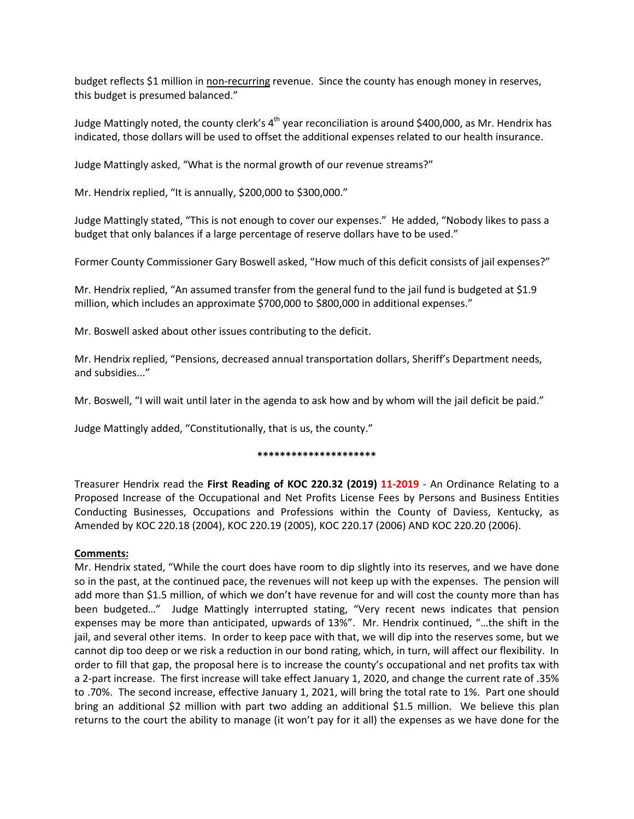budget reflects \$1 million in non-recurring revenue. Since the county has enough money in reserves, this budget is presumed balanced."

Judge Mattingly noted, the county clerk's  $4<sup>th</sup>$  year reconciliation is around \$400,000, as Mr. Hendrix has indicated, those dollars will be used to offset the additional expenses related to our health insurance.

Judge Mattingly asked, "What is the normal growth of our revenue streams?"

Mr. Hendrix replied, "It is annually, \$200,000 to \$300,000."

Judge Mattingly stated, "This is not enough to cover our expenses." He added, "Nobody likes to pass a budget that only balances if a large percentage of reserve dollars have to be used."

Former County Commissioner Gary Boswell asked, "How much of this deficit consists of jail expenses?"

Mr. Hendrix replied, "An assumed transfer from the general fund to the jail fund is budgeted at \$1.9 million, which includes an approximate \$700,000 to \$800,000 in additional expenses."

Mr. Boswell asked about other issues contributing to the deficit.

Mr. Hendrix replied, "Pensions, decreased annual transportation dollars, Sheriff's Department needs, and subsidies..."

Mr. Boswell, "I will wait until later in the agenda to ask how and by whom will the jail deficit be paid."

Judge Mattingly added, "Constitutionally, that is us, the county."

### **\*\*\*\*\*\*\*\*\*\*\*\*\*\*\*\*\*\*\*\*\***

Treasurer Hendrix read the **First Reading of KOC 220.32 (2019) 11-2019** - An Ordinance Relating to a Proposed Increase of the Occupational and Net Profits License Fees by Persons and Business Entities Conducting Businesses, Occupations and Professions within the County of Daviess, Kentucky, as Amended by KOC 220.18 (2004), KOC 220.19 (2005), KOC 220.17 (2006) AND KOC 220.20 (2006).

## **Comments:**

Mr. Hendrix stated, "While the court does have room to dip slightly into its reserves, and we have done so in the past, at the continued pace, the revenues will not keep up with the expenses. The pension will add more than \$1.5 million, of which we don't have revenue for and will cost the county more than has been budgeted…" Judge Mattingly interrupted stating, "Very recent news indicates that pension expenses may be more than anticipated, upwards of 13%". Mr. Hendrix continued, "…the shift in the jail, and several other items. In order to keep pace with that, we will dip into the reserves some, but we cannot dip too deep or we risk a reduction in our bond rating, which, in turn, will affect our flexibility. In order to fill that gap, the proposal here is to increase the county's occupational and net profits tax with a 2-part increase. The first increase will take effect January 1, 2020, and change the current rate of .35% to .70%. The second increase, effective January 1, 2021, will bring the total rate to 1%. Part one should bring an additional \$2 million with part two adding an additional \$1.5 million. We believe this plan returns to the court the ability to manage (it won't pay for it all) the expenses as we have done for the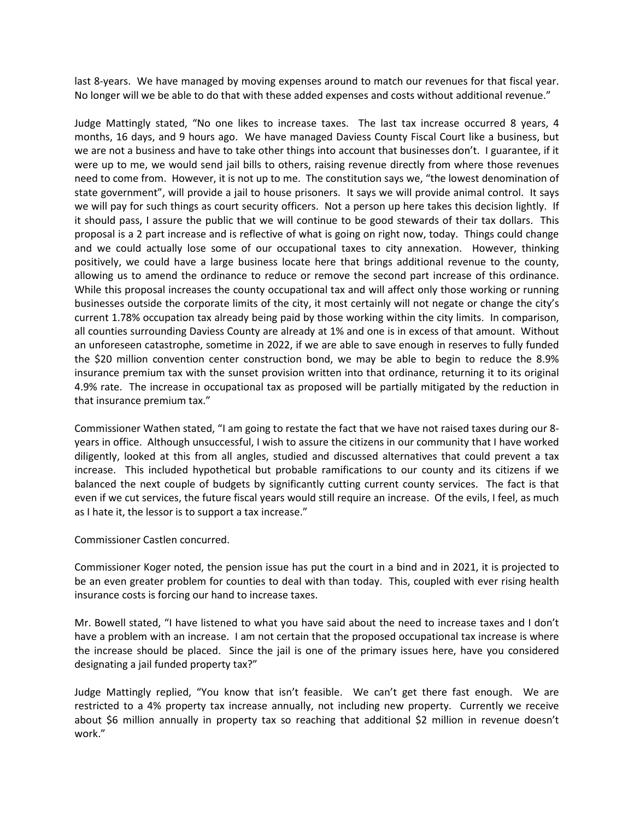last 8-years. We have managed by moving expenses around to match our revenues for that fiscal year. No longer will we be able to do that with these added expenses and costs without additional revenue."

Judge Mattingly stated, "No one likes to increase taxes. The last tax increase occurred 8 years, 4 months, 16 days, and 9 hours ago. We have managed Daviess County Fiscal Court like a business, but we are not a business and have to take other things into account that businesses don't. I guarantee, if it were up to me, we would send jail bills to others, raising revenue directly from where those revenues need to come from. However, it is not up to me. The constitution says we, "the lowest denomination of state government", will provide a jail to house prisoners. It says we will provide animal control. It says we will pay for such things as court security officers. Not a person up here takes this decision lightly. If it should pass, I assure the public that we will continue to be good stewards of their tax dollars. This proposal is a 2 part increase and is reflective of what is going on right now, today. Things could change and we could actually lose some of our occupational taxes to city annexation. However, thinking positively, we could have a large business locate here that brings additional revenue to the county, allowing us to amend the ordinance to reduce or remove the second part increase of this ordinance. While this proposal increases the county occupational tax and will affect only those working or running businesses outside the corporate limits of the city, it most certainly will not negate or change the city's current 1.78% occupation tax already being paid by those working within the city limits. In comparison, all counties surrounding Daviess County are already at 1% and one is in excess of that amount. Without an unforeseen catastrophe, sometime in 2022, if we are able to save enough in reserves to fully funded the \$20 million convention center construction bond, we may be able to begin to reduce the 8.9% insurance premium tax with the sunset provision written into that ordinance, returning it to its original 4.9% rate. The increase in occupational tax as proposed will be partially mitigated by the reduction in that insurance premium tax."

Commissioner Wathen stated, "I am going to restate the fact that we have not raised taxes during our 8 years in office. Although unsuccessful, I wish to assure the citizens in our community that I have worked diligently, looked at this from all angles, studied and discussed alternatives that could prevent a tax increase. This included hypothetical but probable ramifications to our county and its citizens if we balanced the next couple of budgets by significantly cutting current county services. The fact is that even if we cut services, the future fiscal years would still require an increase. Of the evils, I feel, as much as I hate it, the lessor is to support a tax increase."

Commissioner Castlen concurred.

Commissioner Koger noted, the pension issue has put the court in a bind and in 2021, it is projected to be an even greater problem for counties to deal with than today. This, coupled with ever rising health insurance costs is forcing our hand to increase taxes.

Mr. Bowell stated, "I have listened to what you have said about the need to increase taxes and I don't have a problem with an increase. I am not certain that the proposed occupational tax increase is where the increase should be placed. Since the jail is one of the primary issues here, have you considered designating a jail funded property tax?"

Judge Mattingly replied, "You know that isn't feasible. We can't get there fast enough. We are restricted to a 4% property tax increase annually, not including new property. Currently we receive about \$6 million annually in property tax so reaching that additional \$2 million in revenue doesn't work."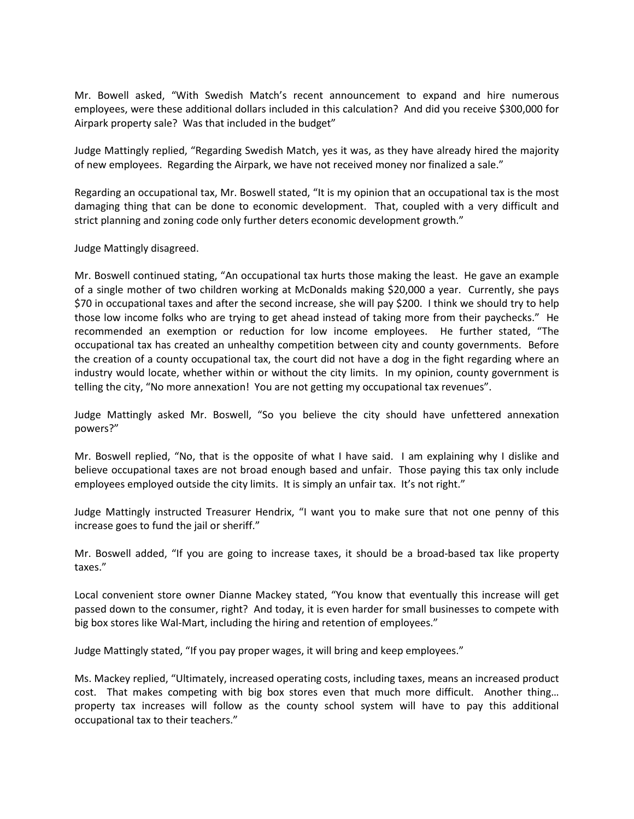Mr. Bowell asked, "With Swedish Match's recent announcement to expand and hire numerous employees, were these additional dollars included in this calculation? And did you receive \$300,000 for Airpark property sale? Was that included in the budget"

Judge Mattingly replied, "Regarding Swedish Match, yes it was, as they have already hired the majority of new employees. Regarding the Airpark, we have not received money nor finalized a sale."

Regarding an occupational tax, Mr. Boswell stated, "It is my opinion that an occupational tax is the most damaging thing that can be done to economic development. That, coupled with a very difficult and strict planning and zoning code only further deters economic development growth."

Judge Mattingly disagreed.

Mr. Boswell continued stating, "An occupational tax hurts those making the least. He gave an example of a single mother of two children working at McDonalds making \$20,000 a year. Currently, she pays \$70 in occupational taxes and after the second increase, she will pay \$200. I think we should try to help those low income folks who are trying to get ahead instead of taking more from their paychecks." He recommended an exemption or reduction for low income employees. He further stated, "The occupational tax has created an unhealthy competition between city and county governments. Before the creation of a county occupational tax, the court did not have a dog in the fight regarding where an industry would locate, whether within or without the city limits. In my opinion, county government is telling the city, "No more annexation! You are not getting my occupational tax revenues".

Judge Mattingly asked Mr. Boswell, "So you believe the city should have unfettered annexation powers?"

Mr. Boswell replied, "No, that is the opposite of what I have said. I am explaining why I dislike and believe occupational taxes are not broad enough based and unfair. Those paying this tax only include employees employed outside the city limits. It is simply an unfair tax. It's not right."

Judge Mattingly instructed Treasurer Hendrix, "I want you to make sure that not one penny of this increase goes to fund the jail or sheriff."

Mr. Boswell added, "If you are going to increase taxes, it should be a broad-based tax like property taxes."

Local convenient store owner Dianne Mackey stated, "You know that eventually this increase will get passed down to the consumer, right? And today, it is even harder for small businesses to compete with big box stores like Wal-Mart, including the hiring and retention of employees."

Judge Mattingly stated, "If you pay proper wages, it will bring and keep employees."

Ms. Mackey replied, "Ultimately, increased operating costs, including taxes, means an increased product cost. That makes competing with big box stores even that much more difficult. Another thing… property tax increases will follow as the county school system will have to pay this additional occupational tax to their teachers."